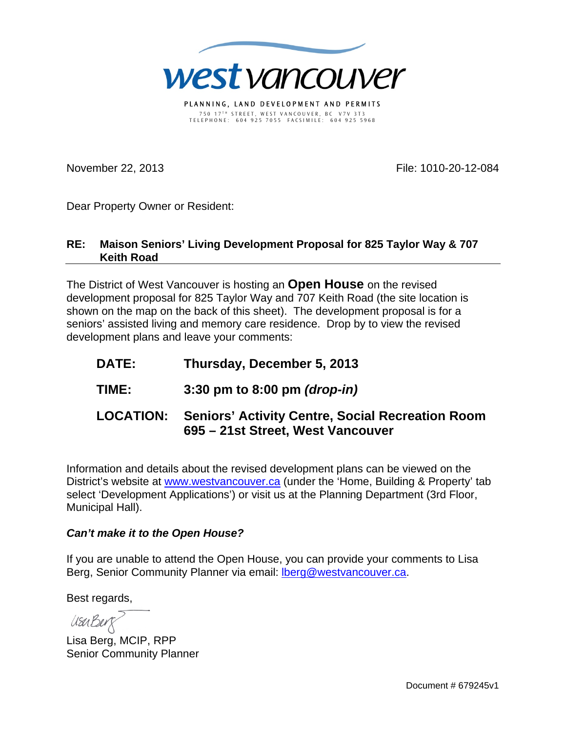

PLANNING, LAND DEVELOPMENT AND PERMITS 750 17 T H STREET, WEST VANCOUVER, BC V7V 3T3 TELEPHONE: 604 925 7055 FACSIMILE: 604 925 5968

November 22, 2013 **File: 1010-20-12-084** 

Dear Property Owner or Resident:

## **RE: Maison Seniors' Living Development Proposal for 825 Taylor Way & 707 Keith Road**

The District of West Vancouver is hosting an **Open House** on the revised development proposal for 825 Taylor Way and 707 Keith Road (the site location is shown on the map on the back of this sheet). The development proposal is for a seniors' assisted living and memory care residence. Drop by to view the revised development plans and leave your comments:

- **DATE: Thursday, December 5, 2013**
- **TIME: 3:30 pm to 8:00 pm** *(drop-in)*

## **LOCATION: Seniors' Activity Centre, Social Recreation Room 695 – 21st Street, West Vancouver**

Information and details about the revised development plans can be viewed on the District's website at www.westvancouver.ca (under the 'Home, Building & Property' tab select 'Development Applications') or visit us at the Planning Department (3rd Floor, Municipal Hall).

## *Can't make it to the Open House?*

If you are unable to attend the Open House, you can provide your comments to Lisa Berg, Senior Community Planner via email: lberg@westvancouver.ca.

Best regards,

UsuBerg

Lisa Berg, MCIP, RPP Senior Community Planner